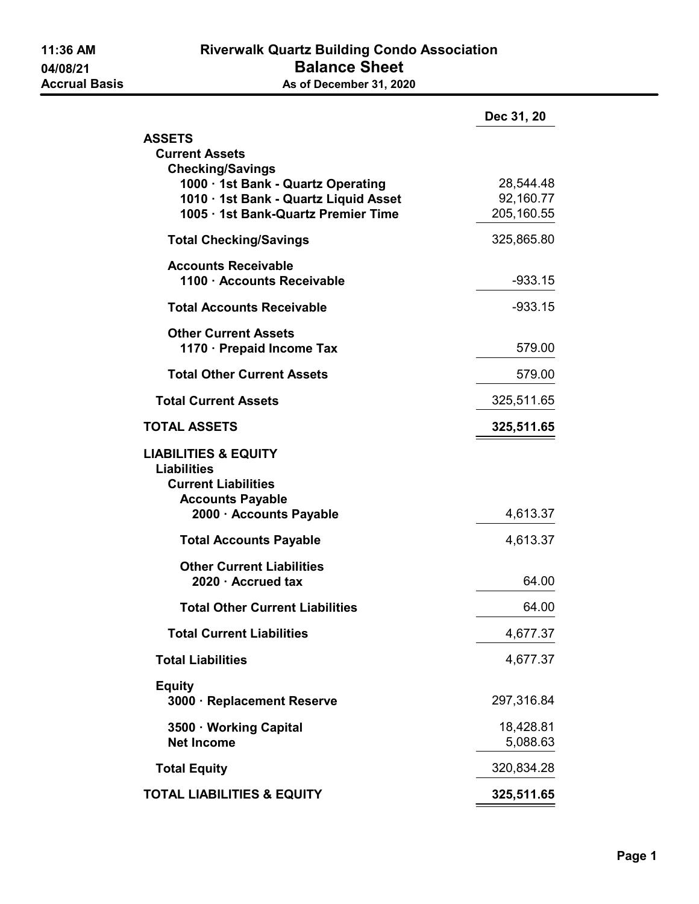|                                                                                                                                                                        | Dec 31, 20                           |  |
|------------------------------------------------------------------------------------------------------------------------------------------------------------------------|--------------------------------------|--|
| <b>ASSETS</b>                                                                                                                                                          |                                      |  |
| <b>Current Assets</b><br><b>Checking/Savings</b><br>1000 · 1st Bank - Quartz Operating<br>1010 · 1st Bank - Quartz Liquid Asset<br>1005 · 1st Bank-Quartz Premier Time | 28,544.48<br>92,160.77<br>205,160.55 |  |
| <b>Total Checking/Savings</b>                                                                                                                                          | 325,865.80                           |  |
| <b>Accounts Receivable</b><br>1100 · Accounts Receivable                                                                                                               | $-933.15$                            |  |
| <b>Total Accounts Receivable</b>                                                                                                                                       | $-933.15$                            |  |
| <b>Other Current Assets</b><br>1170 · Prepaid Income Tax                                                                                                               | 579.00                               |  |
| <b>Total Other Current Assets</b>                                                                                                                                      | 579.00                               |  |
| <b>Total Current Assets</b>                                                                                                                                            | 325,511.65                           |  |
| <b>TOTAL ASSETS</b>                                                                                                                                                    | 325,511.65                           |  |
| <b>LIABILITIES &amp; EQUITY</b><br><b>Liabilities</b><br><b>Current Liabilities</b><br><b>Accounts Payable</b><br>2000 · Accounts Payable                              | 4,613.37                             |  |
| <b>Total Accounts Payable</b>                                                                                                                                          | 4,613.37                             |  |
| <b>Other Current Liabilities</b><br>2020 · Accrued tax                                                                                                                 | 64.00                                |  |
| <b>Total Other Current Liabilities</b>                                                                                                                                 | 64.00                                |  |
| <b>Total Current Liabilities</b>                                                                                                                                       | 4,677.37                             |  |
| <b>Total Liabilities</b>                                                                                                                                               | 4,677.37                             |  |
| <b>Equity</b><br>3000 · Replacement Reserve                                                                                                                            | 297,316.84                           |  |
| 3500 · Working Capital<br><b>Net Income</b>                                                                                                                            | 18,428.81<br>5,088.63                |  |
| <b>Total Equity</b>                                                                                                                                                    | 320,834.28                           |  |
| <b>TOTAL LIABILITIES &amp; EQUITY</b>                                                                                                                                  | 325,511.65                           |  |